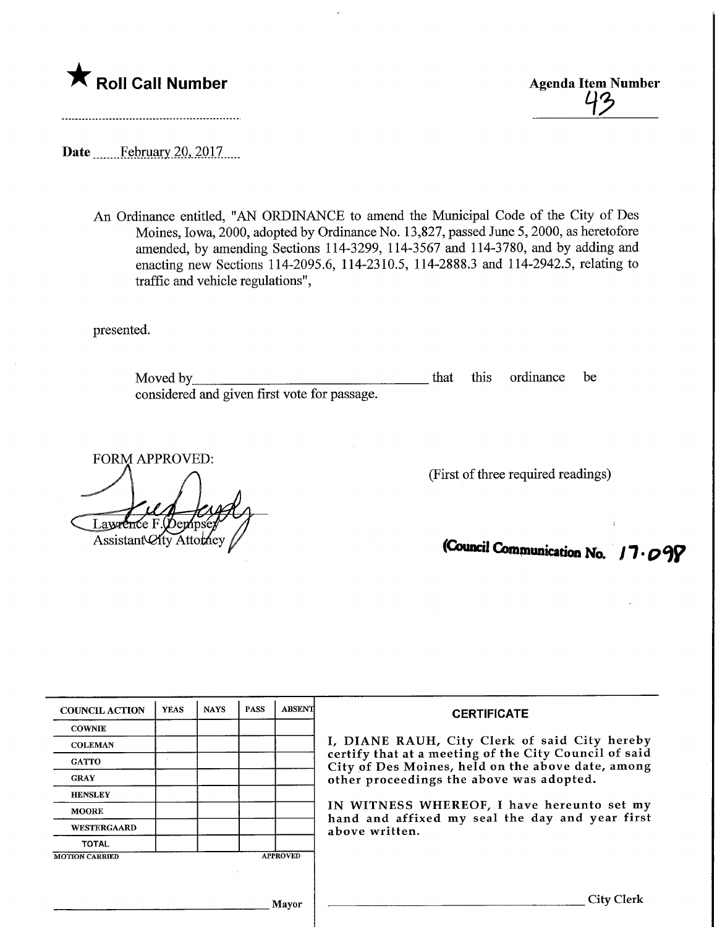

Date ...........February 20, 2017.....

An Ordinance entitled, "AN ORDINANCE to amend the Municipal Code of the City of Des Moines, Iowa, 2000, adopted by Ordinance No. 13,827, passed June 5,2000, as heretofore amended, by amending Sections 114-3299, 114-3567 and 114-3780, and by adding and enacting new Sections 114-2095.6, 114-2310.5, 114-2888.3 and 114-2942.5, relating to traffic and vehicle regulations",

presented.

Moved by\_ considered and given first vote for passage. that this ordinance be

FORM APPROVED: Laween ίe F Assistant City Attorney

(First of three required readings)

(Council Communication No. 17.099

| <b>COUNCIL ACTION</b> | <b>YEAS</b> | <b>NAYS</b>                                                                                                | <b>PASS</b> | <b>ABSENT</b>                                                                                                                                               | <b>CERTIFICATE</b>                            |
|-----------------------|-------------|------------------------------------------------------------------------------------------------------------|-------------|-------------------------------------------------------------------------------------------------------------------------------------------------------------|-----------------------------------------------|
| <b>COWNIE</b>         |             |                                                                                                            |             |                                                                                                                                                             | I, DIANE RAUH, City Clerk of said City hereby |
| <b>COLEMAN</b>        |             |                                                                                                            |             |                                                                                                                                                             |                                               |
| <b>GATTO</b>          |             | certify that at a meeting of the City Council of said<br>City of Des Moines, held on the above date, among |             |                                                                                                                                                             |                                               |
| <b>GRAY</b>           |             |                                                                                                            |             | other proceedings the above was adopted.<br>IN WITNESS WHEREOF, I have hereunto set my<br>hand and affixed my seal the day and year first<br>above written. |                                               |
| <b>HENSLEY</b>        |             |                                                                                                            |             |                                                                                                                                                             |                                               |
| <b>MOORE</b>          |             |                                                                                                            |             |                                                                                                                                                             |                                               |
| <b>WESTERGAARD</b>    |             |                                                                                                            |             |                                                                                                                                                             |                                               |
| <b>TOTAL</b>          |             |                                                                                                            |             |                                                                                                                                                             |                                               |
| <b>MOTION CARRIED</b> |             |                                                                                                            |             | <b>APPROVED</b>                                                                                                                                             |                                               |
|                       |             |                                                                                                            |             |                                                                                                                                                             |                                               |
|                       |             |                                                                                                            |             | Mayor                                                                                                                                                       | City Clerk                                    |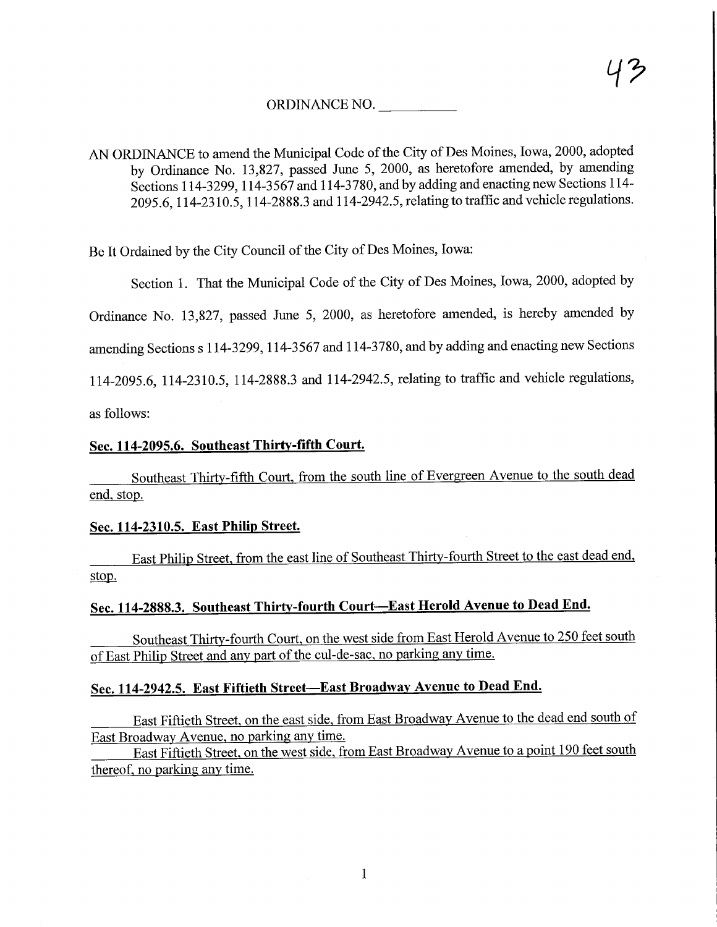### ORDINANCE NO.

AN ORDINANCE to amend the Municipal Code of the City of Des Moines, Iowa, 2000, adopted by Ordinance No. 13,827, passed June 5, 2000, as heretofore amended, by amending Sections 114-3299,114-3567 and 114-3780, and by adding and enacting new Sections 114- 2095.6,114-2310.5,114-2888.3 and 114-2942.5, relating to traffic and vehicle regulations.

Be It Ordained by the City Council of the City of Des Moines, Iowa:

Section 1. That the Municipal Code of the City of Des Moines, Iowa, 2000, adopted by

Ordinance No. 13,827, passed June 5, 2000, as heretofore amended, is hereby amended by

amending Sections s 114-3299, 114-3567 and 114-3780, and by adding and enacting new Sections

114-2095.6, 114-2310.5, 114-2888.3 and 114-2942.5, relating to traffic and vehicle regulations,

as follows:

### Sec. 114-2095.6. Southeast Thirty-fifth Court.

Southeast Thirty-fifth Court, from the south line of Evergreen Avenue to the south dead end, stop.

#### Sec. 114-2310.5. East Philip Street.

East Philip Street, from the east line of Southeast Thirty-fourth Street to the east dead end, stop.

# Sec. 114-2888.3. Southeast Thirty-fourth Court—East Herold Avenue to Dead End.

Southeast Thirtv-fourth Court, on the west side from East Herold Avenue to 250 feet south of East Philip Street and any part of the cul-de-sac, no parking any time.

#### Sec. 114-2942.5. East Fiftieth Street—East Broadway Avenue to Dead End.

East Fiftieth Street, on the east side, from East Broadway Avenue to the dead end south of East Broadwav Avenue, no parking any time.

East Fiftieth Street, on the west side, from East Broadway Avenue to a point 190 feet south thereof, no parking any time.